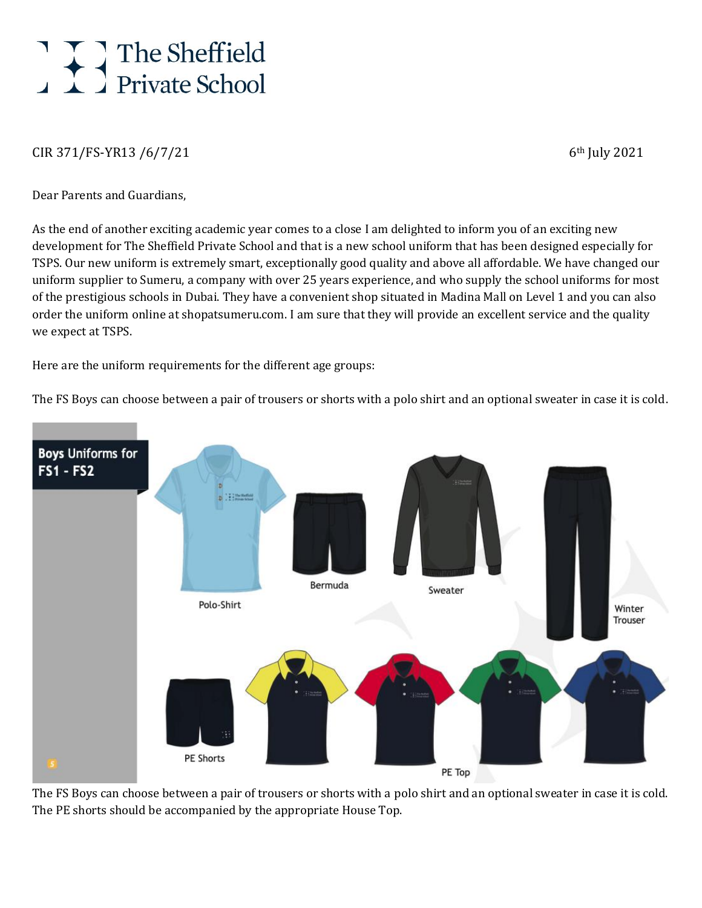## The Sheffield

## $CIR 371/FS-YR13 / 6/7/21$  6th July 2021

Dear Parents and Guardians,

As the end of another exciting academic year comes to a close I am delighted to inform you of an exciting new development for The Sheffield Private School and that is a new school uniform that has been designed especially for TSPS. Our new uniform is extremely smart, exceptionally good quality and above all affordable. We have changed our uniform supplier to Sumeru, a company with over 25 years experience, and who supply the school uniforms for most of the prestigious schools in Dubai. They have a convenient shop situated in Madina Mall on Level 1 and you can also order the uniform online at shopatsumeru.com. I am sure that they will provide an excellent service and the quality we expect at TSPS.

Here are the uniform requirements for the different age groups:

The FS Boys can choose between a pair of trousers or shorts with a polo shirt and an optional sweater in case it is cold.



The FS Boys can choose between a pair of trousers or shorts with a polo shirt and an optional sweater in case it is cold. The PE shorts should be accompanied by the appropriate House Top.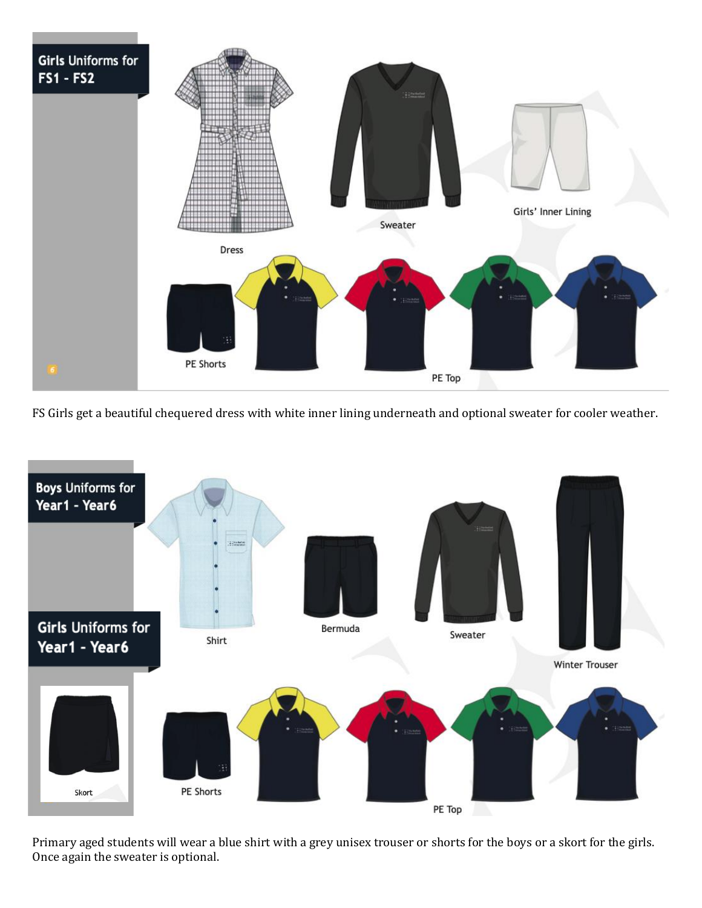

FS Girls get a beautiful chequered dress with white inner lining underneath and optional sweater for cooler weather.



Primary aged students will wear a blue shirt with a grey unisex trouser or shorts for the boys or a skort for the girls. Once again the sweater is optional.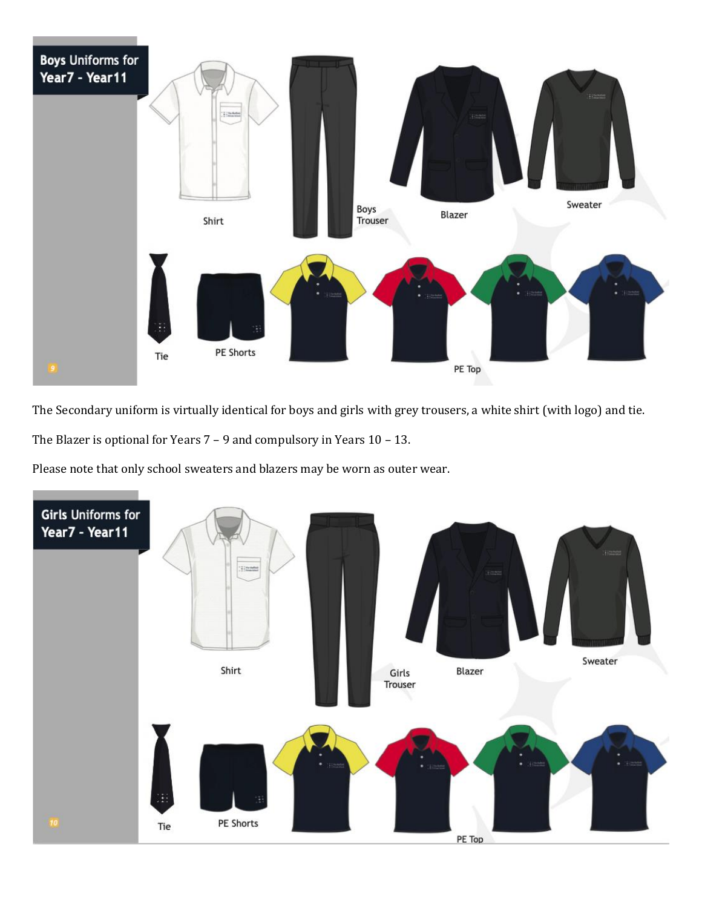

The Secondary uniform is virtually identical for boys and girls with grey trousers, a white shirt (with logo) and tie.

The Blazer is optional for Years 7 – 9 and compulsory in Years 10 – 13.

Please note that only school sweaters and blazers may be worn as outer wear.

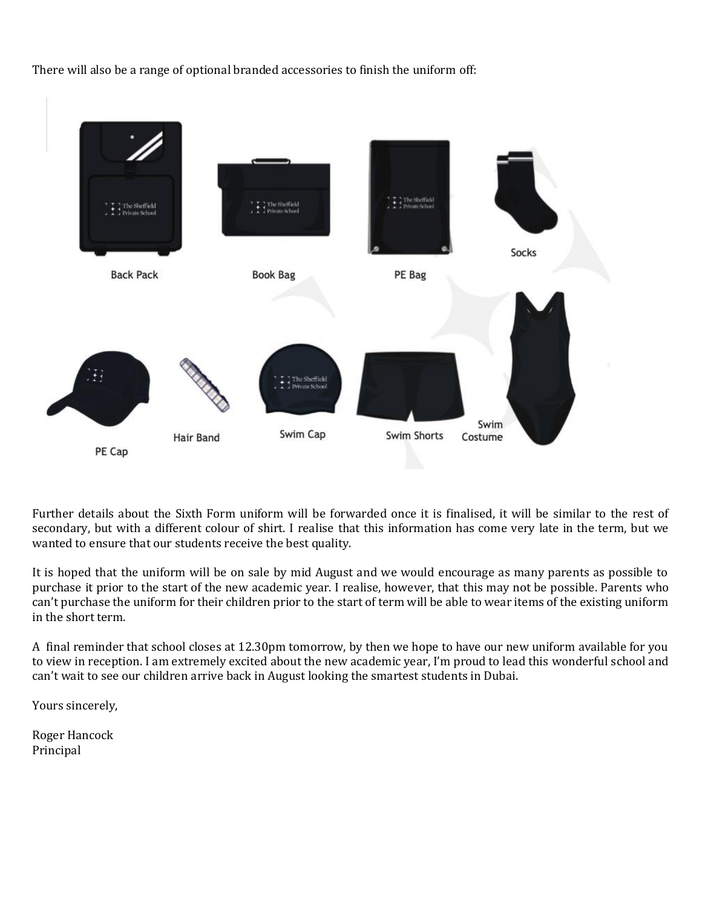

There will also be a range of optional branded accessories to finish the uniform off:

Further details about the Sixth Form uniform will be forwarded once it is finalised, it will be similar to the rest of secondary, but with a different colour of shirt. I realise that this information has come very late in the term, but we wanted to ensure that our students receive the best quality.

It is hoped that the uniform will be on sale by mid August and we would encourage as many parents as possible to purchase it prior to the start of the new academic year. I realise, however, that this may not be possible. Parents who can't purchase the uniform for their children prior to the start of term will be able to wear items of the existing uniform in the short term.

A final reminder that school closes at 12.30pm tomorrow, by then we hope to have our new uniform available for you to view in reception. I am extremely excited about the new academic year, I'm proud to lead this wonderful school and can't wait to see our children arrive back in August looking the smartest students in Dubai.

Yours sincerely,

Roger Hancock Principal